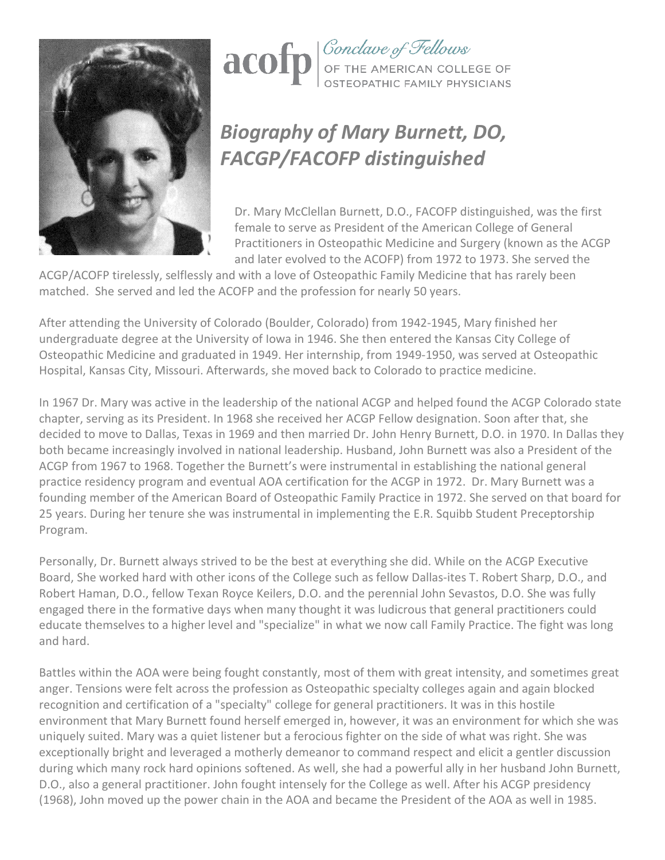



## *Biography of Mary Burnett, DO, FACGP/FACOFP distinguished*

Dr. Mary McClellan Burnett, D.O., FACOFP distinguished, was the first female to serve as President of the American College of General Practitioners in Osteopathic Medicine and Surgery (known as the ACGP and later evolved to the ACOFP) from 1972 to 1973. She served the

ACGP/ACOFP tirelessly, selflessly and with a love of Osteopathic Family Medicine that has rarely been matched. She served and led the ACOFP and the profession for nearly 50 years.

After attending the University of Colorado (Boulder, Colorado) from 1942-1945, Mary finished her undergraduate degree at the University of Iowa in 1946. She then entered the Kansas City College of Osteopathic Medicine and graduated in 1949. Her internship, from 1949-1950, was served at Osteopathic Hospital, Kansas City, Missouri. Afterwards, she moved back to Colorado to practice medicine.

In 1967 Dr. Mary was active in the leadership of the national ACGP and helped found the ACGP Colorado state chapter, serving as its President. In 1968 she received her ACGP Fellow designation. Soon after that, she decided to move to Dallas, Texas in 1969 and then married Dr. John Henry Burnett, D.O. in 1970. In Dallas they both became increasingly involved in national leadership. Husband, John Burnett was also a President of the ACGP from 1967 to 1968. Together the Burnett's were instrumental in establishing the national general practice residency program and eventual AOA certification for the ACGP in 1972. Dr. Mary Burnett was a founding member of the American Board of Osteopathic Family Practice in 1972. She served on that board for 25 years. During her tenure she was instrumental in implementing the E.R. Squibb Student Preceptorship Program.

Personally, Dr. Burnett always strived to be the best at everything she did. While on the ACGP Executive Board, She worked hard with other icons of the College such as fellow Dallas-ites T. Robert Sharp, D.O., and Robert Haman, D.O., fellow Texan Royce Keilers, D.O. and the perennial John Sevastos, D.O. She was fully engaged there in the formative days when many thought it was ludicrous that general practitioners could educate themselves to a higher level and "specialize" in what we now call Family Practice. The fight was long and hard.

Battles within the AOA were being fought constantly, most of them with great intensity, and sometimes great anger. Tensions were felt across the profession as Osteopathic specialty colleges again and again blocked recognition and certification of a "specialty" college for general practitioners. It was in this hostile environment that Mary Burnett found herself emerged in, however, it was an environment for which she was uniquely suited. Mary was a quiet listener but a ferocious fighter on the side of what was right. She was exceptionally bright and leveraged a motherly demeanor to command respect and elicit a gentler discussion during which many rock hard opinions softened. As well, she had a powerful ally in her husband John Burnett, D.O., also a general practitioner. John fought intensely for the College as well. After his ACGP presidency (1968), John moved up the power chain in the AOA and became the President of the AOA as well in 1985.